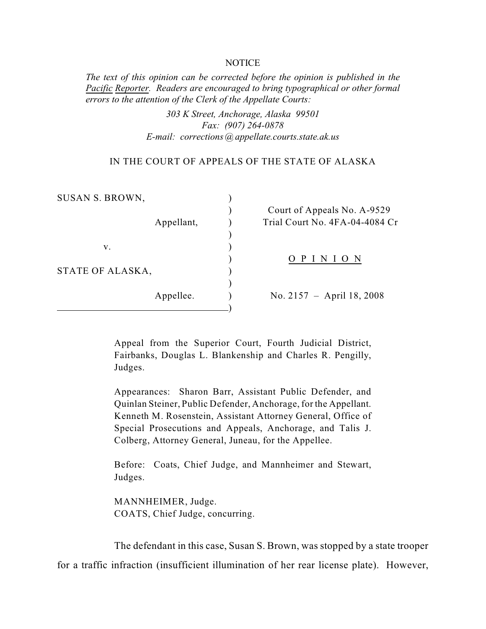#### **NOTICE**

*The text of this opinion can be corrected before the opinion is published in the Pacific Reporter. Readers are encouraged to bring typographical or other formal errors to the attention of the Clerk of the Appellate Courts:* 

> *303 K Street, Anchorage, Alaska 99501 Fax: (907) 264-0878 E-mail: corrections@appellate.courts.state.ak.us*

#### IN THE COURT OF APPEALS OF THE STATE OF ALASKA

| SUSAN S. BROWN,        |            |                                                               |
|------------------------|------------|---------------------------------------------------------------|
|                        | Appellant, | Court of Appeals No. A-9529<br>Trial Court No. 4FA-04-4084 Cr |
| V.<br>STATE OF ALASKA, |            | PIN<br>I O N                                                  |
|                        | Appellee.  | No. 2157 – April 18, 2008                                     |

Appeal from the Superior Court, Fourth Judicial District, Fairbanks, Douglas L. Blankenship and Charles R. Pengilly, Judges.

Appearances: Sharon Barr, Assistant Public Defender, and Quinlan Steiner, Public Defender, Anchorage, for the Appellant. Kenneth M. Rosenstein, Assistant Attorney General, Office of Special Prosecutions and Appeals, Anchorage, and Talis J. Colberg, Attorney General, Juneau, for the Appellee.

Before: Coats, Chief Judge, and Mannheimer and Stewart, Judges.

MANNHEIMER, Judge. COATS, Chief Judge, concurring.

The defendant in this case, Susan S. Brown, was stopped by a state trooper

for a traffic infraction (insufficient illumination of her rear license plate). However,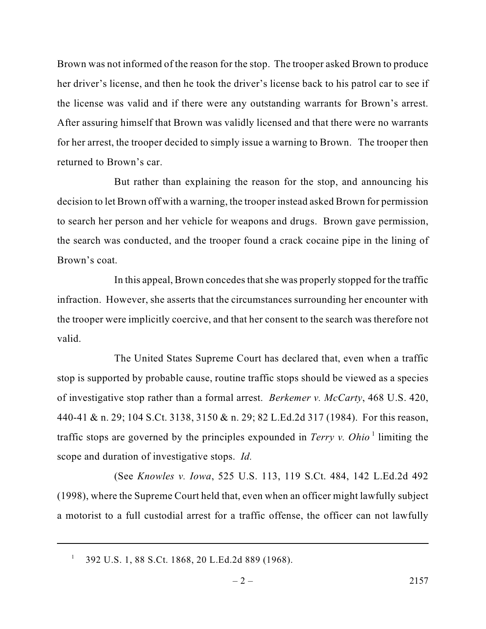Brown was not informed of the reason for the stop. The trooper asked Brown to produce her driver's license, and then he took the driver's license back to his patrol car to see if the license was valid and if there were any outstanding warrants for Brown's arrest. After assuring himself that Brown was validly licensed and that there were no warrants for her arrest, the trooper decided to simply issue a warning to Brown. The trooper then returned to Brown's car.

But rather than explaining the reason for the stop, and announcing his decision to let Brown off with a warning, the trooper instead asked Brown for permission to search her person and her vehicle for weapons and drugs. Brown gave permission, the search was conducted, and the trooper found a crack cocaine pipe in the lining of Brown's coat.

In this appeal, Brown concedes that she was properly stopped for the traffic infraction. However, she asserts that the circumstances surrounding her encounter with the trooper were implicitly coercive, and that her consent to the search was therefore not valid.

The United States Supreme Court has declared that, even when a traffic stop is supported by probable cause, routine traffic stops should be viewed as a species of investigative stop rather than a formal arrest. *Berkemer v. McCarty*, 468 U.S. 420, 440-41 & n. 29; 104 S.Ct. 3138, 3150 & n. 29; 82 L.Ed.2d 317 (1984). For this reason, traffic stops are governed by the principles expounded in *Terry v. Ohio*<sup>1</sup> limiting the scope and duration of investigative stops. *Id.* 

(See *Knowles v. Iowa*, 525 U.S. 113, 119 S.Ct. 484, 142 L.Ed.2d 492 (1998), where the Supreme Court held that, even when an officer might lawfully subject a motorist to a full custodial arrest for a traffic offense, the officer can not lawfully

<sup>392</sup> U.S. 1, 88 S.Ct. 1868, 20 L.Ed.2d 889 (1968). <sup>1</sup>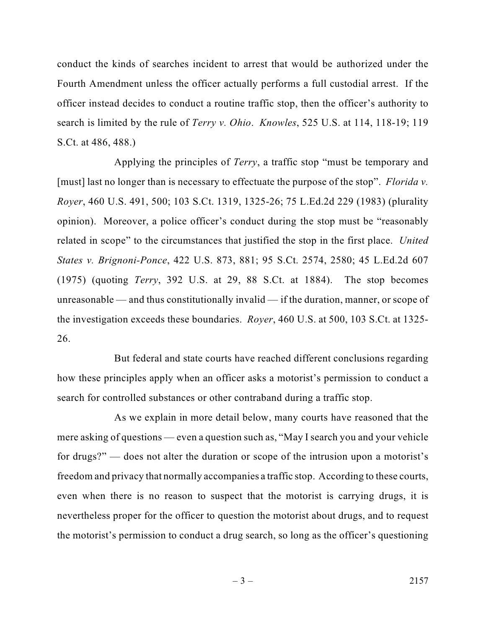conduct the kinds of searches incident to arrest that would be authorized under the Fourth Amendment unless the officer actually performs a full custodial arrest. If the officer instead decides to conduct a routine traffic stop, then the officer's authority to search is limited by the rule of *Terry v. Ohio*. *Knowles*, 525 U.S. at 114, 118-19; 119 S.Ct. at 486, 488.)

Applying the principles of *Terry*, a traffic stop "must be temporary and [must] last no longer than is necessary to effectuate the purpose of the stop". *Florida v. Royer*, 460 U.S. 491, 500; 103 S.Ct. 1319, 1325-26; 75 L.Ed.2d 229 (1983) (plurality opinion). Moreover, a police officer's conduct during the stop must be "reasonably related in scope" to the circumstances that justified the stop in the first place. *United States v. Brignoni-Ponce*, 422 U.S. 873, 881; 95 S.Ct. 2574, 2580; 45 L.Ed.2d 607 (1975) (quoting *Terry*, 392 U.S. at 29, 88 S.Ct. at 1884). The stop becomes unreasonable — and thus constitutionally invalid — if the duration, manner, or scope of the investigation exceeds these boundaries. *Royer*, 460 U.S. at 500, 103 S.Ct. at 1325- 26.

But federal and state courts have reached different conclusions regarding how these principles apply when an officer asks a motorist's permission to conduct a search for controlled substances or other contraband during a traffic stop.

As we explain in more detail below, many courts have reasoned that the mere asking of questions — even a question such as, "May I search you and your vehicle for drugs?" — does not alter the duration or scope of the intrusion upon a motorist's freedom and privacy that normally accompanies a traffic stop. According to these courts, even when there is no reason to suspect that the motorist is carrying drugs, it is nevertheless proper for the officer to question the motorist about drugs, and to request the motorist's permission to conduct a drug search, so long as the officer's questioning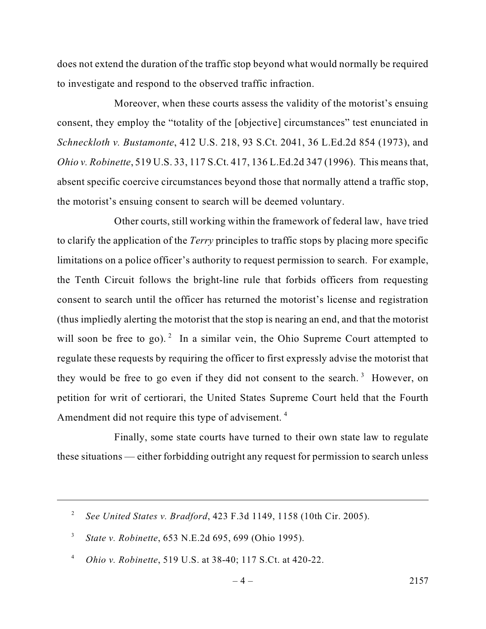does not extend the duration of the traffic stop beyond what would normally be required to investigate and respond to the observed traffic infraction.

Moreover, when these courts assess the validity of the motorist's ensuing consent, they employ the "totality of the [objective] circumstances" test enunciated in *Schneckloth v. Bustamonte*, 412 U.S. 218, 93 S.Ct. 2041, 36 L.Ed.2d 854 (1973), and *Ohio v. Robinette*, 519 U.S. 33, 117 S.Ct. 417, 136 L.Ed.2d 347 (1996). This means that, absent specific coercive circumstances beyond those that normally attend a traffic stop, the motorist's ensuing consent to search will be deemed voluntary.

Other courts, still working within the framework of federal law, have tried to clarify the application of the *Terry* principles to traffic stops by placing more specific limitations on a police officer's authority to request permission to search. For example, the Tenth Circuit follows the bright-line rule that forbids officers from requesting consent to search until the officer has returned the motorist's license and registration (thus impliedly alerting the motorist that the stop is nearing an end, and that the motorist will soon be free to go). <sup>2</sup> In a similar vein, the Ohio Supreme Court attempted to regulate these requests by requiring the officer to first expressly advise the motorist that they would be free to go even if they did not consent to the search.<sup>3</sup> However, on petition for writ of certiorari, the United States Supreme Court held that the Fourth Amendment did not require this type of advisement. <sup>4</sup>

Finally, some state courts have turned to their own state law to regulate these situations — either forbidding outright any request for permission to search unless

*See United States v. Bradford*, 423 F.3d 1149, 1158 (10th Cir. 2005). <sup>2</sup>

*State v. Robinette*, 653 N.E.2d 695, 699 (Ohio 1995). <sup>3</sup>

*Ohio v. Robinette*, 519 U.S. at 38-40; 117 S.Ct. at 420-22. 4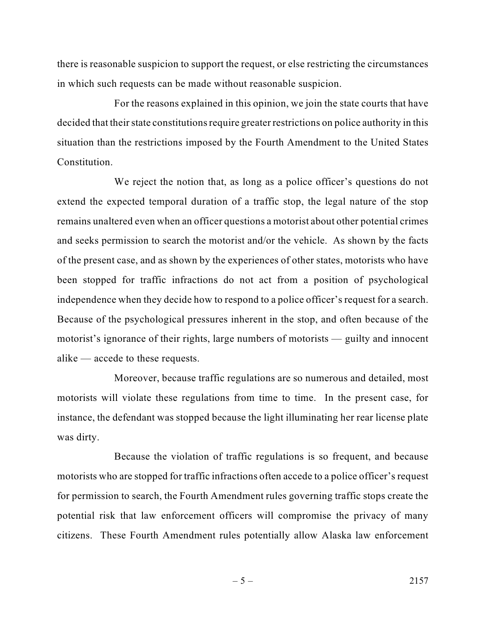there is reasonable suspicion to support the request, or else restricting the circumstances in which such requests can be made without reasonable suspicion.

For the reasons explained in this opinion, we join the state courts that have decided that their state constitutions require greater restrictions on police authority in this situation than the restrictions imposed by the Fourth Amendment to the United States Constitution.

We reject the notion that, as long as a police officer's questions do not extend the expected temporal duration of a traffic stop, the legal nature of the stop remains unaltered even when an officer questions a motorist about other potential crimes and seeks permission to search the motorist and/or the vehicle. As shown by the facts of the present case, and as shown by the experiences of other states, motorists who have been stopped for traffic infractions do not act from a position of psychological independence when they decide how to respond to a police officer's request for a search. Because of the psychological pressures inherent in the stop, and often because of the motorist's ignorance of their rights, large numbers of motorists — guilty and innocent alike — accede to these requests.

Moreover, because traffic regulations are so numerous and detailed, most motorists will violate these regulations from time to time. In the present case, for instance, the defendant was stopped because the light illuminating her rear license plate was dirty.

Because the violation of traffic regulations is so frequent, and because motorists who are stopped for traffic infractions often accede to a police officer's request for permission to search, the Fourth Amendment rules governing traffic stops create the potential risk that law enforcement officers will compromise the privacy of many citizens. These Fourth Amendment rules potentially allow Alaska law enforcement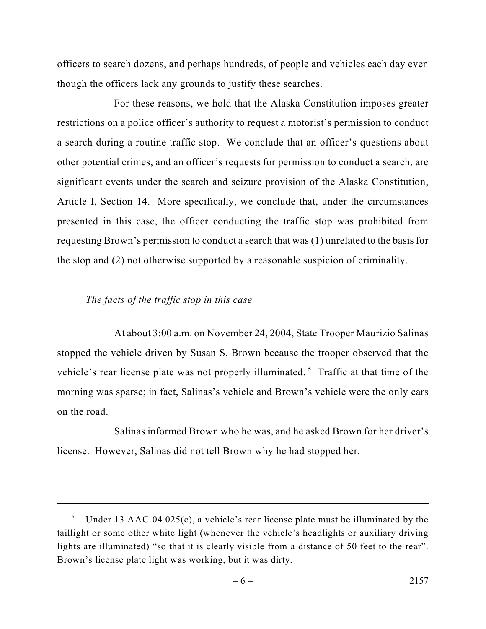officers to search dozens, and perhaps hundreds, of people and vehicles each day even though the officers lack any grounds to justify these searches.

For these reasons, we hold that the Alaska Constitution imposes greater restrictions on a police officer's authority to request a motorist's permission to conduct a search during a routine traffic stop. We conclude that an officer's questions about other potential crimes, and an officer's requests for permission to conduct a search, are significant events under the search and seizure provision of the Alaska Constitution, Article I, Section 14. More specifically, we conclude that, under the circumstances presented in this case, the officer conducting the traffic stop was prohibited from requesting Brown's permission to conduct a search that was (1) unrelated to the basis for the stop and (2) not otherwise supported by a reasonable suspicion of criminality.

# *The facts of the traffic stop in this case*

At about 3:00 a.m. on November 24, 2004, State Trooper Maurizio Salinas stopped the vehicle driven by Susan S. Brown because the trooper observed that the vehicle's rear license plate was not properly illuminated.<sup>5</sup> Traffic at that time of the morning was sparse; in fact, Salinas's vehicle and Brown's vehicle were the only cars on the road.

Salinas informed Brown who he was, and he asked Brown for her driver's license. However, Salinas did not tell Brown why he had stopped her.

<sup>&</sup>lt;sup>5</sup> Under 13 AAC 04.025(c), a vehicle's rear license plate must be illuminated by the taillight or some other white light (whenever the vehicle's headlights or auxiliary driving lights are illuminated) "so that it is clearly visible from a distance of 50 feet to the rear". Brown's license plate light was working, but it was dirty.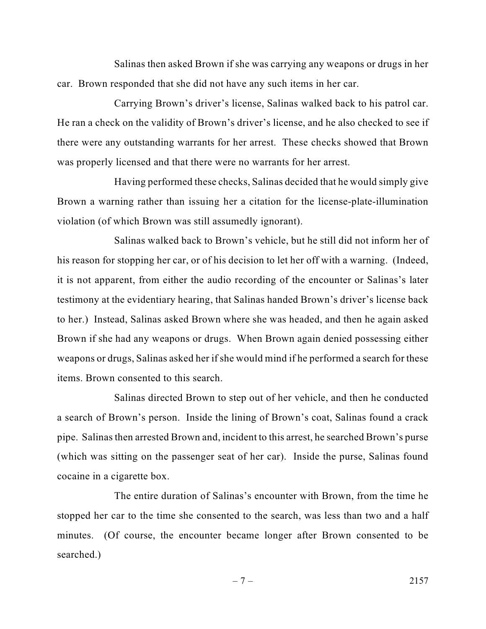Salinas then asked Brown if she was carrying any weapons or drugs in her car. Brown responded that she did not have any such items in her car.

Carrying Brown's driver's license, Salinas walked back to his patrol car. He ran a check on the validity of Brown's driver's license, and he also checked to see if there were any outstanding warrants for her arrest. These checks showed that Brown was properly licensed and that there were no warrants for her arrest.

Having performed these checks, Salinas decided that he would simply give Brown a warning rather than issuing her a citation for the license-plate-illumination violation (of which Brown was still assumedly ignorant).

Salinas walked back to Brown's vehicle, but he still did not inform her of his reason for stopping her car, or of his decision to let her off with a warning. (Indeed, it is not apparent, from either the audio recording of the encounter or Salinas's later testimony at the evidentiary hearing, that Salinas handed Brown's driver's license back to her.) Instead, Salinas asked Brown where she was headed, and then he again asked Brown if she had any weapons or drugs. When Brown again denied possessing either weapons or drugs, Salinas asked her if she would mind if he performed a search for these items. Brown consented to this search.

Salinas directed Brown to step out of her vehicle, and then he conducted a search of Brown's person. Inside the lining of Brown's coat, Salinas found a crack pipe. Salinas then arrested Brown and, incident to this arrest, he searched Brown's purse (which was sitting on the passenger seat of her car). Inside the purse, Salinas found cocaine in a cigarette box.

The entire duration of Salinas's encounter with Brown, from the time he stopped her car to the time she consented to the search, was less than two and a half minutes. (Of course, the encounter became longer after Brown consented to be searched.)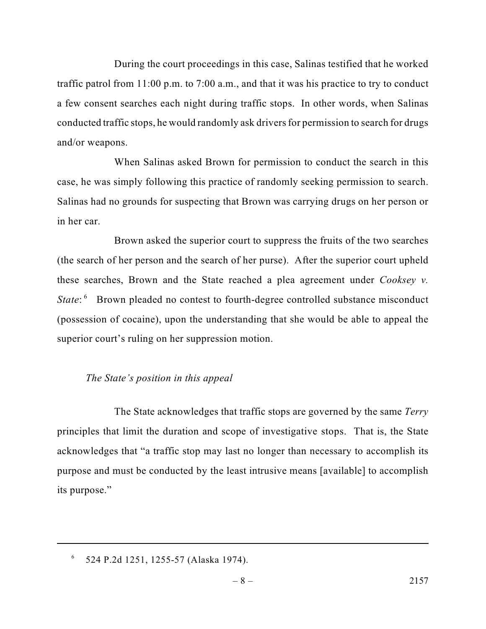During the court proceedings in this case, Salinas testified that he worked traffic patrol from 11:00 p.m. to 7:00 a.m., and that it was his practice to try to conduct a few consent searches each night during traffic stops. In other words, when Salinas conducted traffic stops, he would randomly ask drivers for permission to search for drugs and/or weapons.

When Salinas asked Brown for permission to conduct the search in this case, he was simply following this practice of randomly seeking permission to search. Salinas had no grounds for suspecting that Brown was carrying drugs on her person or in her car.

Brown asked the superior court to suppress the fruits of the two searches (the search of her person and the search of her purse). After the superior court upheld these searches, Brown and the State reached a plea agreement under *Cooksey v. State*: <sup>6</sup> Brown pleaded no contest to fourth-degree controlled substance misconduct (possession of cocaine), upon the understanding that she would be able to appeal the superior court's ruling on her suppression motion.

### *The State's position in this appeal*

The State acknowledges that traffic stops are governed by the same *Terry* principles that limit the duration and scope of investigative stops. That is, the State acknowledges that "a traffic stop may last no longer than necessary to accomplish its purpose and must be conducted by the least intrusive means [available] to accomplish its purpose."

 $6$  524 P.2d 1251, 1255-57 (Alaska 1974).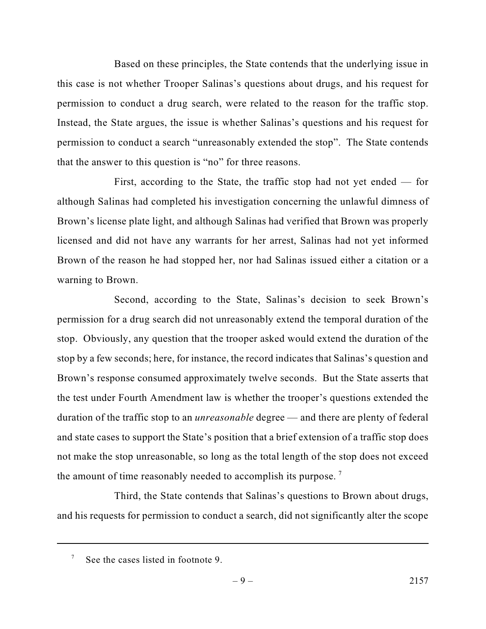Based on these principles, the State contends that the underlying issue in this case is not whether Trooper Salinas's questions about drugs, and his request for permission to conduct a drug search, were related to the reason for the traffic stop. Instead, the State argues, the issue is whether Salinas's questions and his request for permission to conduct a search "unreasonably extended the stop". The State contends that the answer to this question is "no" for three reasons.

First, according to the State, the traffic stop had not yet ended — for although Salinas had completed his investigation concerning the unlawful dimness of Brown's license plate light, and although Salinas had verified that Brown was properly licensed and did not have any warrants for her arrest, Salinas had not yet informed Brown of the reason he had stopped her, nor had Salinas issued either a citation or a warning to Brown.

Second, according to the State, Salinas's decision to seek Brown's permission for a drug search did not unreasonably extend the temporal duration of the stop. Obviously, any question that the trooper asked would extend the duration of the stop by a few seconds; here, for instance, the record indicates that Salinas's question and Brown's response consumed approximately twelve seconds. But the State asserts that the test under Fourth Amendment law is whether the trooper's questions extended the duration of the traffic stop to an *unreasonable* degree — and there are plenty of federal and state cases to support the State's position that a brief extension of a traffic stop does not make the stop unreasonable, so long as the total length of the stop does not exceed the amount of time reasonably needed to accomplish its purpose.<sup>7</sup>

Third, the State contends that Salinas's questions to Brown about drugs, and his requests for permission to conduct a search, did not significantly alter the scope

See the cases listed in footnote 9. 7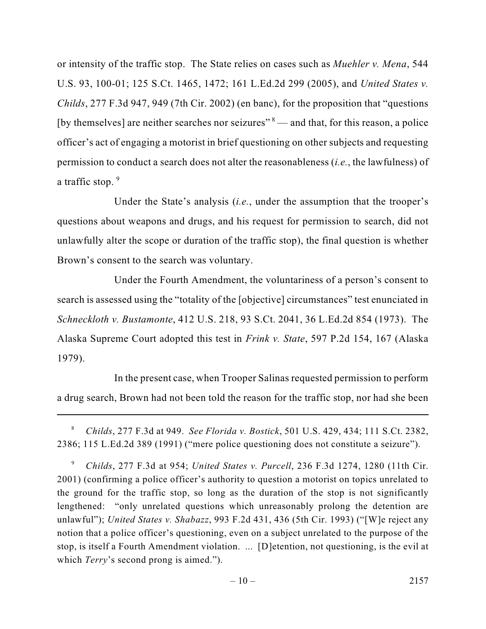or intensity of the traffic stop. The State relies on cases such as *Muehler v. Mena*, 544 U.S. 93, 100-01; 125 S.Ct. 1465, 1472; 161 L.Ed.2d 299 (2005), and *United States v. Childs*, 277 F.3d 947, 949 (7th Cir. 2002) (en banc), for the proposition that "questions [by themselves] are neither searches nor seizures"  $\delta$  — and that, for this reason, a police officer's act of engaging a motorist in brief questioning on other subjects and requesting permission to conduct a search does not alter the reasonableness (*i.e.*, the lawfulness) of a traffic stop. 9

Under the State's analysis (*i.e.*, under the assumption that the trooper's questions about weapons and drugs, and his request for permission to search, did not unlawfully alter the scope or duration of the traffic stop), the final question is whether Brown's consent to the search was voluntary.

Under the Fourth Amendment, the voluntariness of a person's consent to search is assessed using the "totality of the [objective] circumstances" test enunciated in *Schneckloth v. Bustamonte*, 412 U.S. 218, 93 S.Ct. 2041, 36 L.Ed.2d 854 (1973). The Alaska Supreme Court adopted this test in *Frink v. State*, 597 P.2d 154, 167 (Alaska 1979).

In the present case, when Trooper Salinas requested permission to perform a drug search, Brown had not been told the reason for the traffic stop, nor had she been

*Childs*, 277 F.3d at 954; *United States v. Purcell*, 236 F.3d 1274, 1280 (11th Cir. 9 2001) (confirming a police officer's authority to question a motorist on topics unrelated to the ground for the traffic stop, so long as the duration of the stop is not significantly lengthened: "only unrelated questions which unreasonably prolong the detention are unlawful"); *United States v. Shabazz*, 993 F.2d 431, 436 (5th Cir. 1993) ("[W]e reject any notion that a police officer's questioning, even on a subject unrelated to the purpose of the stop, is itself a Fourth Amendment violation. ... [D]etention, not questioning, is the evil at which *Terry*'s second prong is aimed.").

*Childs*, 277 F.3d at 949. *See Florida v. Bostick*, 501 U.S. 429, 434; 111 S.Ct. 2382, <sup>8</sup> 2386; 115 L.Ed.2d 389 (1991) ("mere police questioning does not constitute a seizure").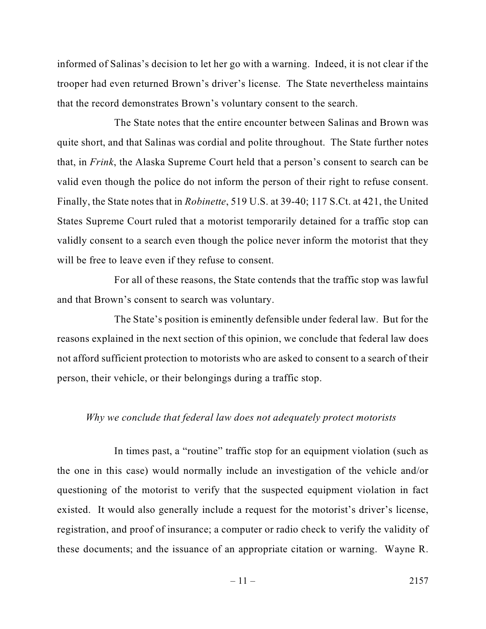informed of Salinas's decision to let her go with a warning. Indeed, it is not clear if the trooper had even returned Brown's driver's license. The State nevertheless maintains that the record demonstrates Brown's voluntary consent to the search.

The State notes that the entire encounter between Salinas and Brown was quite short, and that Salinas was cordial and polite throughout. The State further notes that, in *Frink*, the Alaska Supreme Court held that a person's consent to search can be valid even though the police do not inform the person of their right to refuse consent. Finally, the State notes that in *Robinette*, 519 U.S. at 39-40; 117 S.Ct. at 421, the United States Supreme Court ruled that a motorist temporarily detained for a traffic stop can validly consent to a search even though the police never inform the motorist that they will be free to leave even if they refuse to consent.

For all of these reasons, the State contends that the traffic stop was lawful and that Brown's consent to search was voluntary.

The State's position is eminently defensible under federal law. But for the reasons explained in the next section of this opinion, we conclude that federal law does not afford sufficient protection to motorists who are asked to consent to a search of their person, their vehicle, or their belongings during a traffic stop.

# *Why we conclude that federal law does not adequately protect motorists*

In times past, a "routine" traffic stop for an equipment violation (such as the one in this case) would normally include an investigation of the vehicle and/or questioning of the motorist to verify that the suspected equipment violation in fact existed. It would also generally include a request for the motorist's driver's license, registration, and proof of insurance; a computer or radio check to verify the validity of these documents; and the issuance of an appropriate citation or warning. Wayne R.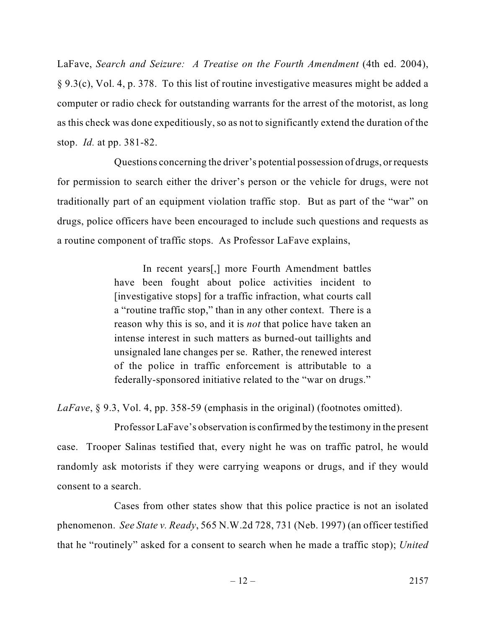LaFave, *Search and Seizure: A Treatise on the Fourth Amendment* (4th ed. 2004), § 9.3(c), Vol. 4, p. 378. To this list of routine investigative measures might be added a computer or radio check for outstanding warrants for the arrest of the motorist, as long as this check was done expeditiously, so as not to significantly extend the duration of the stop. *Id.* at pp. 381-82.

Questions concerning the driver's potential possession of drugs, or requests for permission to search either the driver's person or the vehicle for drugs, were not traditionally part of an equipment violation traffic stop. But as part of the "war" on drugs, police officers have been encouraged to include such questions and requests as a routine component of traffic stops. As Professor LaFave explains,

> In recent years[,] more Fourth Amendment battles have been fought about police activities incident to [investigative stops] for a traffic infraction, what courts call a "routine traffic stop," than in any other context. There is a reason why this is so, and it is *not* that police have taken an intense interest in such matters as burned-out taillights and unsignaled lane changes per se. Rather, the renewed interest of the police in traffic enforcement is attributable to a federally-sponsored initiative related to the "war on drugs."

*LaFave*, § 9.3, Vol. 4, pp. 358-59 (emphasis in the original) (footnotes omitted).

Professor LaFave's observation is confirmed by the testimony in the present case. Trooper Salinas testified that, every night he was on traffic patrol, he would randomly ask motorists if they were carrying weapons or drugs, and if they would consent to a search.

Cases from other states show that this police practice is not an isolated phenomenon. *See State v. Ready*, 565 N.W.2d 728, 731 (Neb. 1997) (an officer testified that he "routinely" asked for a consent to search when he made a traffic stop); *United*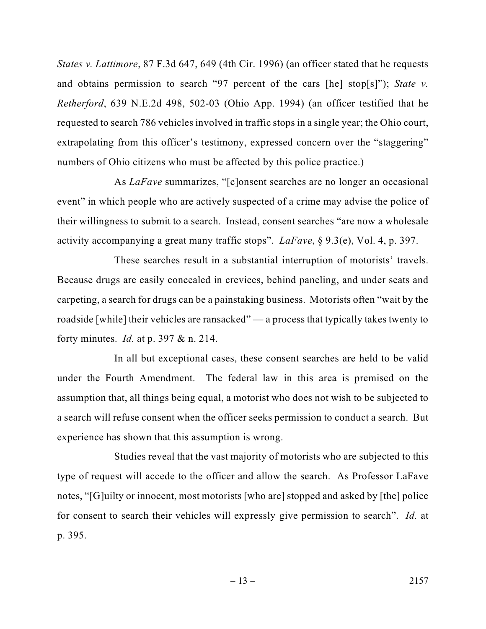*States v. Lattimore*, 87 F.3d 647, 649 (4th Cir. 1996) (an officer stated that he requests and obtains permission to search "97 percent of the cars [he] stop[s]"); *State v. Retherford*, 639 N.E.2d 498, 502-03 (Ohio App. 1994) (an officer testified that he requested to search 786 vehiclesinvolved in traffic stops in a single year; the Ohio court, extrapolating from this officer's testimony, expressed concern over the "staggering" numbers of Ohio citizens who must be affected by this police practice.)

As *LaFave* summarizes, "[c]onsent searches are no longer an occasional event" in which people who are actively suspected of a crime may advise the police of their willingness to submit to a search. Instead, consent searches "are now a wholesale activity accompanying a great many traffic stops". *LaFave*, § 9.3(e), Vol. 4, p. 397.

These searches result in a substantial interruption of motorists' travels. Because drugs are easily concealed in crevices, behind paneling, and under seats and carpeting, a search for drugs can be a painstaking business. Motorists often "wait by the roadside [while] their vehicles are ransacked" — a process that typically takes twenty to forty minutes. *Id.* at p. 397 & n. 214.

In all but exceptional cases, these consent searches are held to be valid under the Fourth Amendment. The federal law in this area is premised on the assumption that, all things being equal, a motorist who does not wish to be subjected to a search will refuse consent when the officer seeks permission to conduct a search. But experience has shown that this assumption is wrong.

Studies reveal that the vast majority of motorists who are subjected to this type of request will accede to the officer and allow the search. As Professor LaFave notes, "[G]uilty or innocent, most motorists [who are] stopped and asked by [the] police for consent to search their vehicles will expressly give permission to search". *Id.* at p. 395.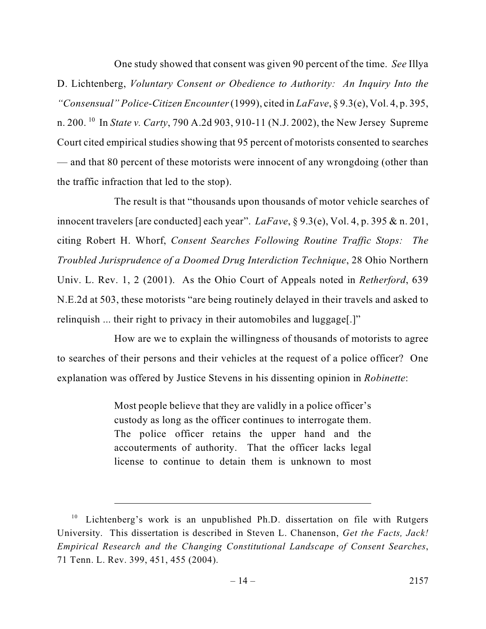One study showed that consent was given 90 percent of the time. *See* Illya D. Lichtenberg, *Voluntary Consent or Obedience to Authority: An Inquiry Into the "Consensual" Police-Citizen Encounter* (1999), cited in *LaFave*, § 9.3(e), Vol. 4, p. 395, n. 200. <sup>10</sup> In *State v. Carty*, 790 A.2d 903, 910-11 (N.J. 2002), the New Jersey Supreme Court cited empirical studies showing that 95 percent of motorists consented to searches — and that 80 percent of these motorists were innocent of any wrongdoing (other than the traffic infraction that led to the stop).

The result is that "thousands upon thousands of motor vehicle searches of innocent travelers [are conducted] each year". *LaFave*, § 9.3(e), Vol. 4, p. 395 & n. 201, citing Robert H. Whorf, *Consent Searches Following Routine Traffic Stops: The Troubled Jurisprudence of a Doomed Drug Interdiction Technique*, 28 Ohio Northern Univ. L. Rev. 1, 2 (2001). As the Ohio Court of Appeals noted in *Retherford*, 639 N.E.2d at 503, these motorists "are being routinely delayed in their travels and asked to relinquish ... their right to privacy in their automobiles and luggage[.]"

How are we to explain the willingness of thousands of motorists to agree to searches of their persons and their vehicles at the request of a police officer? One explanation was offered by Justice Stevens in his dissenting opinion in *Robinette*:

> Most people believe that they are validly in a police officer's custody as long as the officer continues to interrogate them. The police officer retains the upper hand and the accouterments of authority. That the officer lacks legal license to continue to detain them is unknown to most

<sup>&</sup>lt;sup>10</sup> Lichtenberg's work is an unpublished Ph.D. dissertation on file with Rutgers University. This dissertation is described in Steven L. Chanenson, *Get the Facts, Jack! Empirical Research and the Changing Constitutional Landscape of Consent Searches*, 71 Tenn. L. Rev. 399, 451, 455 (2004).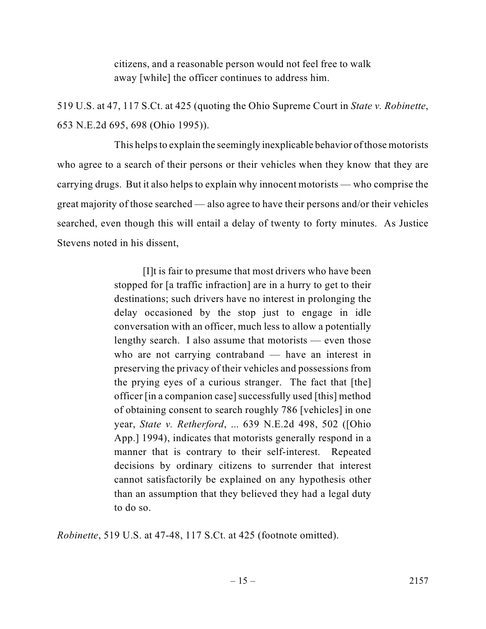citizens, and a reasonable person would not feel free to walk away [while] the officer continues to address him.

519 U.S. at 47, 117 S.Ct. at 425 (quoting the Ohio Supreme Court in *State v. Robinette*, 653 N.E.2d 695, 698 (Ohio 1995)).

This helps to explain the seemingly inexplicable behavior of those motorists who agree to a search of their persons or their vehicles when they know that they are carrying drugs. But it also helps to explain why innocent motorists — who comprise the great majority of those searched — also agree to have their persons and/or their vehicles searched, even though this will entail a delay of twenty to forty minutes. As Justice Stevens noted in his dissent,

> [I]t is fair to presume that most drivers who have been stopped for [a traffic infraction] are in a hurry to get to their destinations; such drivers have no interest in prolonging the delay occasioned by the stop just to engage in idle conversation with an officer, much less to allow a potentially lengthy search. I also assume that motorists — even those who are not carrying contraband — have an interest in preserving the privacy of their vehicles and possessions from the prying eyes of a curious stranger. The fact that [the] officer [in a companion case]successfully used [this] method of obtaining consent to search roughly 786 [vehicles] in one year, *State v. Retherford*, ... 639 N.E.2d 498, 502 ([Ohio App.] 1994), indicates that motorists generally respond in a manner that is contrary to their self-interest. Repeated decisions by ordinary citizens to surrender that interest cannot satisfactorily be explained on any hypothesis other than an assumption that they believed they had a legal duty to do so.

*Robinette*, 519 U.S. at 47-48, 117 S.Ct. at 425 (footnote omitted).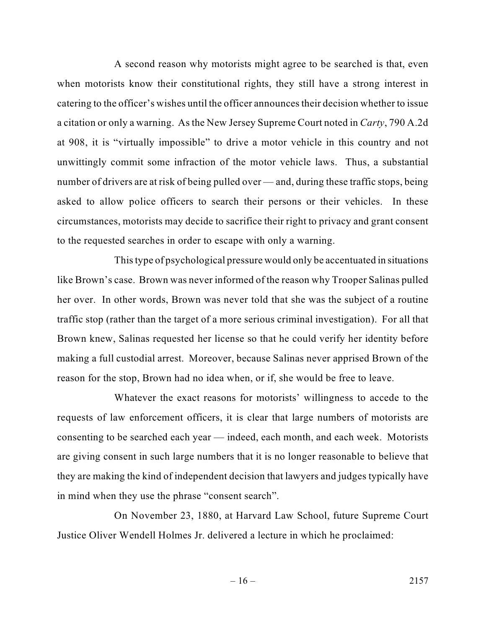A second reason why motorists might agree to be searched is that, even when motorists know their constitutional rights, they still have a strong interest in catering to the officer's wishes until the officer announces their decision whether to issue a citation or only a warning. As the New Jersey Supreme Court noted in *Carty*, 790 A.2d at 908, it is "virtually impossible" to drive a motor vehicle in this country and not unwittingly commit some infraction of the motor vehicle laws. Thus, a substantial number of drivers are at risk of being pulled over — and, during these traffic stops, being asked to allow police officers to search their persons or their vehicles. In these circumstances, motorists may decide to sacrifice their right to privacy and grant consent to the requested searches in order to escape with only a warning.

This type of psychological pressure would only be accentuated in situations like Brown's case. Brown was never informed of the reason why Trooper Salinas pulled her over. In other words, Brown was never told that she was the subject of a routine traffic stop (rather than the target of a more serious criminal investigation). For all that Brown knew, Salinas requested her license so that he could verify her identity before making a full custodial arrest. Moreover, because Salinas never apprised Brown of the reason for the stop, Brown had no idea when, or if, she would be free to leave.

Whatever the exact reasons for motorists' willingness to accede to the requests of law enforcement officers, it is clear that large numbers of motorists are consenting to be searched each year — indeed, each month, and each week. Motorists are giving consent in such large numbers that it is no longer reasonable to believe that they are making the kind of independent decision that lawyers and judges typically have in mind when they use the phrase "consent search".

On November 23, 1880, at Harvard Law School, future Supreme Court Justice Oliver Wendell Holmes Jr. delivered a lecture in which he proclaimed: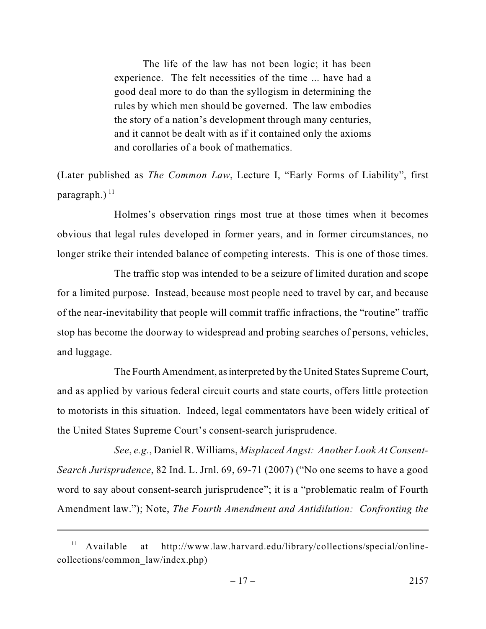The life of the law has not been logic; it has been experience. The felt necessities of the time ... have had a good deal more to do than the syllogism in determining the rules by which men should be governed. The law embodies the story of a nation's development through many centuries, and it cannot be dealt with as if it contained only the axioms and corollaries of a book of mathematics.

(Later published as *The Common Law*, Lecture I, "Early Forms of Liability", first paragraph.) $^{11}$ 

Holmes's observation rings most true at those times when it becomes obvious that legal rules developed in former years, and in former circumstances, no longer strike their intended balance of competing interests. This is one of those times.

The traffic stop was intended to be a seizure of limited duration and scope for a limited purpose. Instead, because most people need to travel by car, and because of the near-inevitability that people will commit traffic infractions, the "routine" traffic stop has become the doorway to widespread and probing searches of persons, vehicles, and luggage.

The Fourth Amendment, as interpreted by the United States Supreme Court, and as applied by various federal circuit courts and state courts, offers little protection to motorists in this situation. Indeed, legal commentators have been widely critical of the United States Supreme Court's consent-search jurisprudence.

*See*, *e.g.*, Daniel R. Williams, *Misplaced Angst: Another Look At Consent-Search Jurisprudence*, 82 Ind. L. Jrnl. 69, 69-71 (2007) ("No one seems to have a good word to say about consent-search jurisprudence"; it is a "problematic realm of Fourth Amendment law."); Note, *The Fourth Amendment and Antidilution: Confronting the*

 $11$  Available at http://www.law.harvard.edu/library/collections/special/onlinecollections/common\_law/index.php)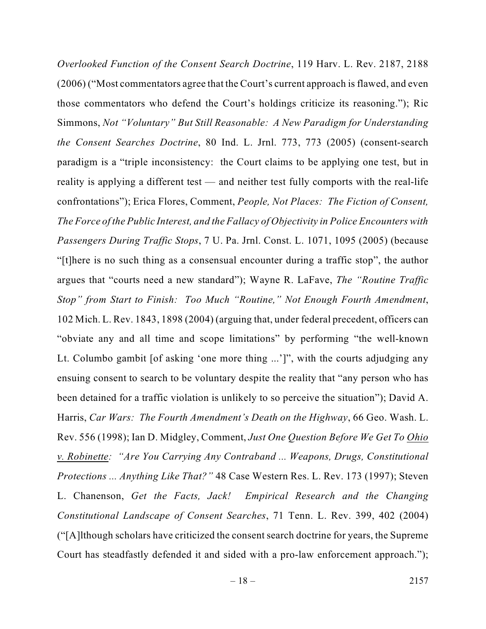*Overlooked Function of the Consent Search Doctrine*, 119 Harv. L. Rev. 2187, 2188 (2006) ("Most commentators agree that the Court's current approach is flawed, and even those commentators who defend the Court's holdings criticize its reasoning."); Ric Simmons, *Not "Voluntary" But Still Reasonable: A New Paradigm for Understanding the Consent Searches Doctrine*, 80 Ind. L. Jrnl. 773, 773 (2005) (consent-search paradigm is a "triple inconsistency: the Court claims to be applying one test, but in reality is applying a different test — and neither test fully comports with the real-life confrontations"); Erica Flores, Comment, *People, Not Places: The Fiction of Consent, The Force of the Public Interest, and the Fallacy of Objectivity in Police Encounters with Passengers During Traffic Stops*, 7 U. Pa. Jrnl. Const. L. 1071, 1095 (2005) (because "[t]here is no such thing as a consensual encounter during a traffic stop", the author argues that "courts need a new standard"); Wayne R. LaFave, *The "Routine Traffic Stop" from Start to Finish: Too Much "Routine," Not Enough Fourth Amendment*, 102 Mich. L. Rev. 1843, 1898 (2004) (arguing that, under federal precedent, officers can "obviate any and all time and scope limitations" by performing "the well-known Lt. Columbo gambit [of asking 'one more thing ...']", with the courts adjudging any ensuing consent to search to be voluntary despite the reality that "any person who has been detained for a traffic violation is unlikely to so perceive the situation"); David A. Harris, *Car Wars: The Fourth Amendment's Death on the Highway*, 66 Geo. Wash. L. Rev. 556 (1998); Ian D. Midgley, Comment, *Just One Question Before We Get To Ohio v. Robinette: "Are You Carrying Any Contraband ... Weapons, Drugs, Constitutional Protections ... Anything Like That?"* 48 Case Western Res. L. Rev. 173 (1997); Steven L. Chanenson, *Get the Facts, Jack! Empirical Research and the Changing Constitutional Landscape of Consent Searches*, 71 Tenn. L. Rev. 399, 402 (2004) ("[A]lthough scholars have criticized the consent search doctrine for years, the Supreme Court has steadfastly defended it and sided with a pro-law enforcement approach.");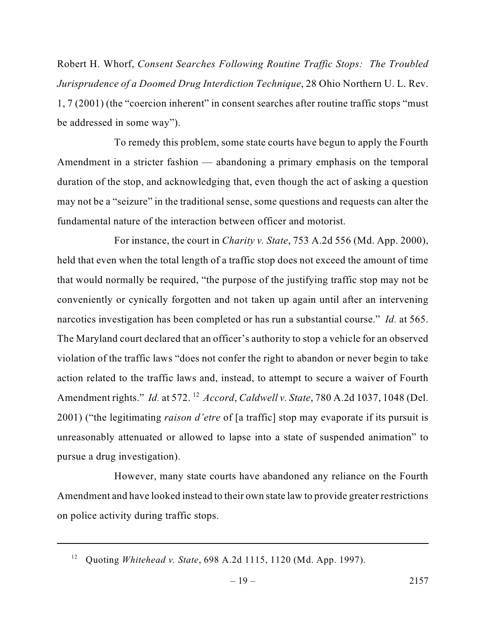Robert H. Whorf, *Consent Searches Following Routine Traffic Stops: The Troubled Jurisprudence of a Doomed Drug Interdiction Technique*, 28 Ohio Northern U. L. Rev. 1, 7 (2001) (the "coercion inherent" in consent searches after routine traffic stops "must be addressed in some way").

To remedy this problem, some state courts have begun to apply the Fourth Amendment in a stricter fashion — abandoning a primary emphasis on the temporal duration of the stop, and acknowledging that, even though the act of asking a question may not be a "seizure" in the traditional sense, some questions and requests can alter the fundamental nature of the interaction between officer and motorist.

For instance, the court in *Charity v. State*, 753 A.2d 556 (Md. App. 2000), held that even when the total length of a traffic stop does not exceed the amount of time that would normally be required, "the purpose of the justifying traffic stop may not be conveniently or cynically forgotten and not taken up again until after an intervening narcotics investigation has been completed or has run a substantial course." *Id.* at 565. The Maryland court declared that an officer's authority to stop a vehicle for an observed violation of the traffic laws "does not confer the right to abandon or never begin to take action related to the traffic laws and, instead, to attempt to secure a waiver of Fourth Amendment rights." *Id.* at 572.<sup>12</sup> *Accord, Caldwell v. State,* 780 A.2d 1037, 1048 (Del. 2001) ("the legitimating *raison d'etre* of [a traffic] stop may evaporate if its pursuit is unreasonably attenuated or allowed to lapse into a state of suspended animation" to pursue a drug investigation).

However, many state courts have abandoned any reliance on the Fourth Amendment and have looked instead to their own state law to provide greater restrictions on police activity during traffic stops.

<sup>&</sup>lt;sup>12</sup> Quoting *Whitehead v. State*, 698 A.2d 1115, 1120 (Md. App. 1997).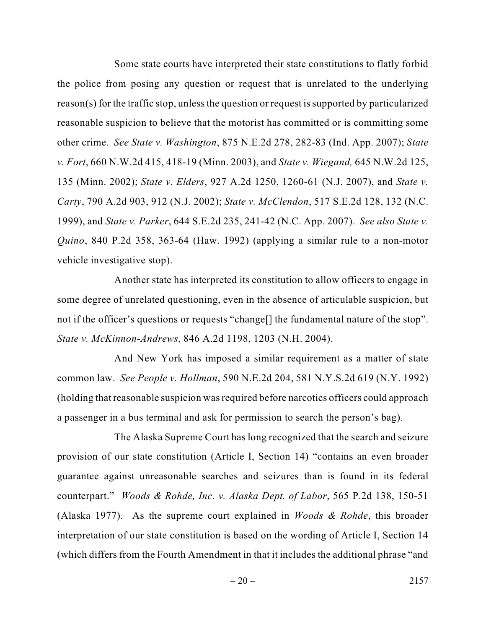Some state courts have interpreted their state constitutions to flatly forbid the police from posing any question or request that is unrelated to the underlying reason(s) for the traffic stop, unless the question or request is supported by particularized reasonable suspicion to believe that the motorist has committed or is committing some other crime. *See State v. Washington*, 875 N.E.2d 278, 282-83 (Ind. App. 2007); *State v. Fort*, 660 N.W.2d 415, 418-19 (Minn. 2003), and *State v. Wiegand,* 645 N.W.2d 125, 135 (Minn. 2002); *State v. Elders*, 927 A.2d 1250, 1260-61 (N.J. 2007), and *State v. Carty*, 790 A.2d 903, 912 (N.J. 2002); *State v. McClendon*, 517 S.E.2d 128, 132 (N.C. 1999), and *State v. Parker*, 644 S.E.2d 235, 241-42 (N.C. App. 2007). *See also State v. Quino*, 840 P.2d 358, 363-64 (Haw. 1992) (applying a similar rule to a non-motor vehicle investigative stop).

Another state has interpreted its constitution to allow officers to engage in some degree of unrelated questioning, even in the absence of articulable suspicion, but not if the officer's questions or requests "change<sup>[]</sup> the fundamental nature of the stop". *State v. McKinnon-Andrews*, 846 A.2d 1198, 1203 (N.H. 2004).

And New York has imposed a similar requirement as a matter of state common law. *See People v. Hollman*, 590 N.E.2d 204, 581 N.Y.S.2d 619 (N.Y. 1992) (holding that reasonable suspicion was required before narcotics officers could approach a passenger in a bus terminal and ask for permission to search the person's bag).

The Alaska Supreme Court has long recognized that the search and seizure provision of our state constitution (Article I, Section 14) "contains an even broader guarantee against unreasonable searches and seizures than is found in its federal counterpart." *Woods & Rohde, Inc. v. Alaska Dept. of Labor*, 565 P.2d 138, 150-51 (Alaska 1977). As the supreme court explained in *Woods & Rohde*, this broader interpretation of our state constitution is based on the wording of Article I, Section 14 (which differs from the Fourth Amendment in that it includes the additional phrase "and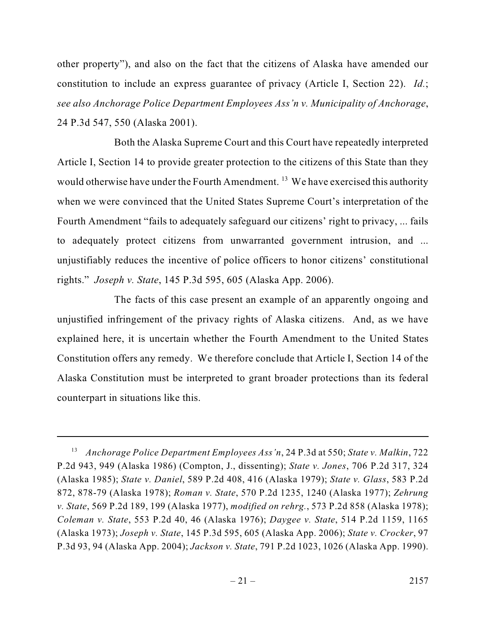other property"), and also on the fact that the citizens of Alaska have amended our constitution to include an express guarantee of privacy (Article I, Section 22). *Id.*; *see also Anchorage Police Department Employees Ass'n v. Municipality of Anchorage*, 24 P.3d 547, 550 (Alaska 2001).

Both the Alaska Supreme Court and this Court have repeatedly interpreted Article I, Section 14 to provide greater protection to the citizens of this State than they would otherwise have under the Fourth Amendment.  $^{13}$  We have exercised this authority when we were convinced that the United States Supreme Court's interpretation of the Fourth Amendment "fails to adequately safeguard our citizens' right to privacy, ... fails to adequately protect citizens from unwarranted government intrusion, and ... unjustifiably reduces the incentive of police officers to honor citizens' constitutional rights." *Joseph v. State*, 145 P.3d 595, 605 (Alaska App. 2006).

The facts of this case present an example of an apparently ongoing and unjustified infringement of the privacy rights of Alaska citizens. And, as we have explained here, it is uncertain whether the Fourth Amendment to the United States Constitution offers any remedy. We therefore conclude that Article I, Section 14 of the Alaska Constitution must be interpreted to grant broader protections than its federal counterpart in situations like this.

*Anchorage Police Department Employees Ass'n*, 24 P.3d at 550; *State v. Malkin*, 722 <sup>13</sup> P.2d 943, 949 (Alaska 1986) (Compton, J., dissenting); *State v. Jones*, 706 P.2d 317, 324 (Alaska 1985); *State v. Daniel*, 589 P.2d 408, 416 (Alaska 1979); *State v. Glass*, 583 P.2d 872, 878-79 (Alaska 1978); *Roman v. State*, 570 P.2d 1235, 1240 (Alaska 1977); *Zehrung v. State*, 569 P.2d 189, 199 (Alaska 1977), *modified on rehrg.*, 573 P.2d 858 (Alaska 1978); *Coleman v. State*, 553 P.2d 40, 46 (Alaska 1976); *Daygee v. State*, 514 P.2d 1159, 1165 (Alaska 1973); *Joseph v. State*, 145 P.3d 595, 605 (Alaska App. 2006); *State v. Crocker*, 97 P.3d 93, 94 (Alaska App. 2004); *Jackson v. State*, 791 P.2d 1023, 1026 (Alaska App. 1990).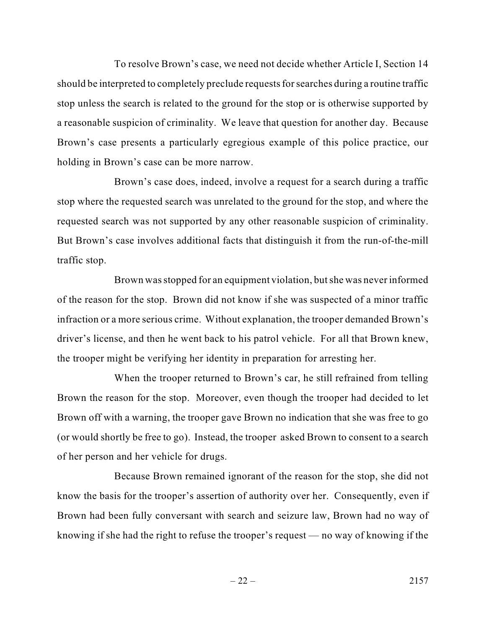To resolve Brown's case, we need not decide whether Article I, Section 14 should be interpreted to completely preclude requests for searches during a routine traffic stop unless the search is related to the ground for the stop or is otherwise supported by a reasonable suspicion of criminality. We leave that question for another day. Because Brown's case presents a particularly egregious example of this police practice, our holding in Brown's case can be more narrow.

Brown's case does, indeed, involve a request for a search during a traffic stop where the requested search was unrelated to the ground for the stop, and where the requested search was not supported by any other reasonable suspicion of criminality. But Brown's case involves additional facts that distinguish it from the run-of-the-mill traffic stop.

Brown was stopped for an equipment violation, butshe was never informed of the reason for the stop. Brown did not know if she was suspected of a minor traffic infraction or a more serious crime. Without explanation, the trooper demanded Brown's driver's license, and then he went back to his patrol vehicle. For all that Brown knew, the trooper might be verifying her identity in preparation for arresting her.

When the trooper returned to Brown's car, he still refrained from telling Brown the reason for the stop. Moreover, even though the trooper had decided to let Brown off with a warning, the trooper gave Brown no indication that she was free to go (or would shortly be free to go). Instead, the trooper asked Brown to consent to a search of her person and her vehicle for drugs.

Because Brown remained ignorant of the reason for the stop, she did not know the basis for the trooper's assertion of authority over her. Consequently, even if Brown had been fully conversant with search and seizure law, Brown had no way of knowing if she had the right to refuse the trooper's request — no way of knowing if the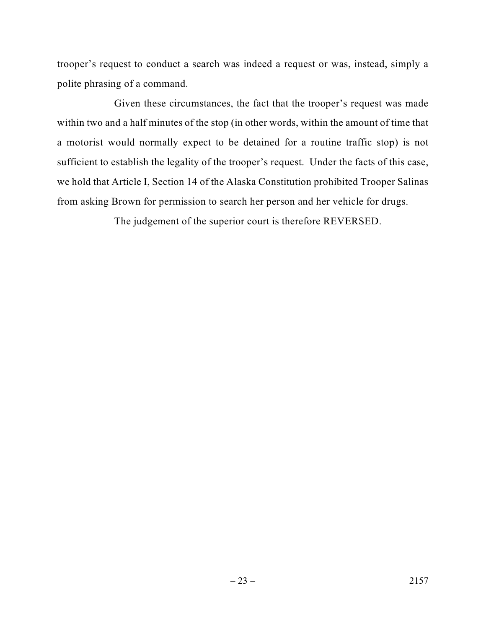trooper's request to conduct a search was indeed a request or was, instead, simply a polite phrasing of a command.

Given these circumstances, the fact that the trooper's request was made within two and a half minutes of the stop (in other words, within the amount of time that a motorist would normally expect to be detained for a routine traffic stop) is not sufficient to establish the legality of the trooper's request. Under the facts of this case, we hold that Article I, Section 14 of the Alaska Constitution prohibited Trooper Salinas from asking Brown for permission to search her person and her vehicle for drugs.

The judgement of the superior court is therefore REVERSED.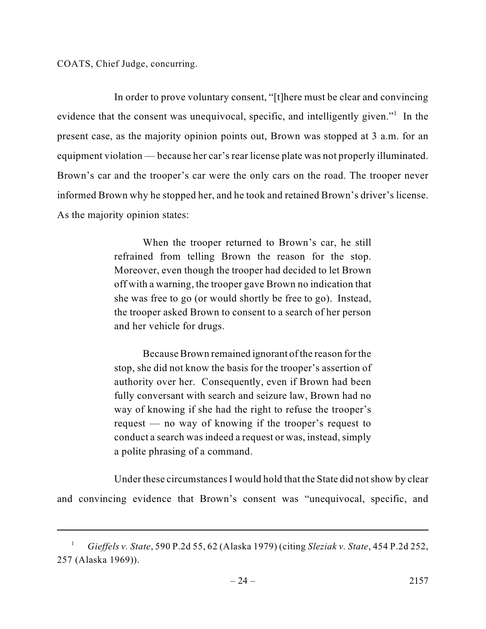COATS, Chief Judge, concurring.

In order to prove voluntary consent, "[t]here must be clear and convincing evidence that the consent was unequivocal, specific, and intelligently given."<sup>1</sup> In the present case, as the majority opinion points out, Brown was stopped at 3 a.m. for an equipment violation — because her car's rear license plate was not properly illuminated. Brown's car and the trooper's car were the only cars on the road. The trooper never informed Brown why he stopped her, and he took and retained Brown's driver's license. As the majority opinion states:

> When the trooper returned to Brown's car, he still refrained from telling Brown the reason for the stop. Moreover, even though the trooper had decided to let Brown off with a warning, the trooper gave Brown no indication that she was free to go (or would shortly be free to go). Instead, the trooper asked Brown to consent to a search of her person and her vehicle for drugs.

> Because Brown remained ignorant of the reason for the stop, she did not know the basis for the trooper's assertion of authority over her. Consequently, even if Brown had been fully conversant with search and seizure law, Brown had no way of knowing if she had the right to refuse the trooper's request — no way of knowing if the trooper's request to conduct a search was indeed a request or was, instead, simply a polite phrasing of a command.

Under these circumstances I would hold that the State did not show by clear and convincing evidence that Brown's consent was "unequivocal, specific, and

*Gieffels v. State*, 590 P.2d 55, 62 (Alaska 1979) (citing *Sleziak v. State*, 454 P.2d 252, <sup>1</sup> 257 (Alaska 1969)).